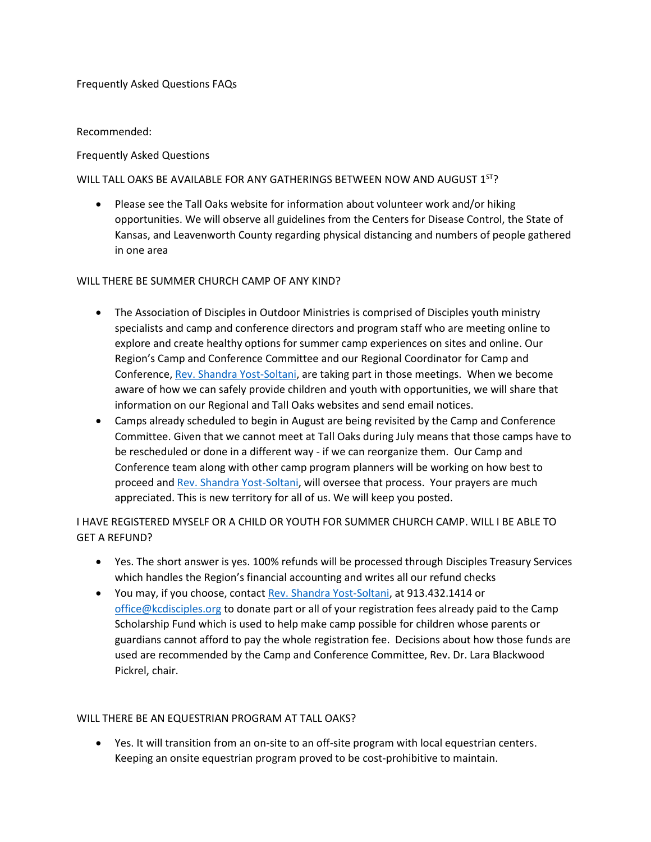### Frequently Asked Questions FAQs

## Recommended:

# Frequently Asked Questions

# WILL TALL OAKS BE AVAILABLE FOR ANY GATHERINGS BETWEEN NOW AND AUGUST  $1^{57}$ ?

• Please see the Tall Oaks website for information about volunteer work and/or hiking opportunities. We will observe all guidelines from the Centers for Disease Control, the State of Kansas, and Leavenworth County regarding physical distancing and numbers of people gathered in one area

# WILL THERE BE SUMMER CHURCH CAMP OF ANY KIND?

- The Association of Disciples in Outdoor Ministries is comprised of Disciples youth ministry specialists and camp and conference directors and program staff who are meeting online to explore and create healthy options for summer camp experiences on sites and online. Our Region's Camp and Conference Committee and our Regional Coordinator for Camp and Conference[, Rev. Shandra Yost-Soltani,](mailto:shandra@kcdisciples.org) are taking part in those meetings. When we become aware of how we can safely provide children and youth with opportunities, we will share that information on our Regional and Tall Oaks websites and send email notices.
- Camps already scheduled to begin in August are being revisited by the Camp and Conference Committee. Given that we cannot meet at Tall Oaks during July means that those camps have to be rescheduled or done in a different way - if we can reorganize them. Our Camp and Conference team along with other camp program planners will be working on how best to proceed an[d Rev. Shandra Yost-Soltani,](mailto:shandra@kcdisciples.org) will oversee that process. Your prayers are much appreciated. This is new territory for all of us. We will keep you posted.

I HAVE REGISTERED MYSELF OR A CHILD OR YOUTH FOR SUMMER CHURCH CAMP. WILL I BE ABLE TO GET A REFUND?

- Yes. The short answer is yes. 100% refunds will be processed through Disciples Treasury Services which handles the Region's financial accounting and writes all our refund checks
- You may, if you choose, contact [Rev. Shandra Yost-Soltani,](mailto:shandra@kcdisciples.org) at 913.432.1414 or [office@kcdisciples.org](mailto:office@kcdisciples.org) to donate part or all of your registration fees already paid to the Camp Scholarship Fund which is used to help make camp possible for children whose parents or guardians cannot afford to pay the whole registration fee. Decisions about how those funds are used are recommended by the Camp and Conference Committee, Rev. Dr. Lara Blackwood Pickrel, chair.

### WILL THERE BE AN EQUESTRIAN PROGRAM AT TALL OAKS?

• Yes. It will transition from an on-site to an off-site program with local equestrian centers. Keeping an onsite equestrian program proved to be cost-prohibitive to maintain.